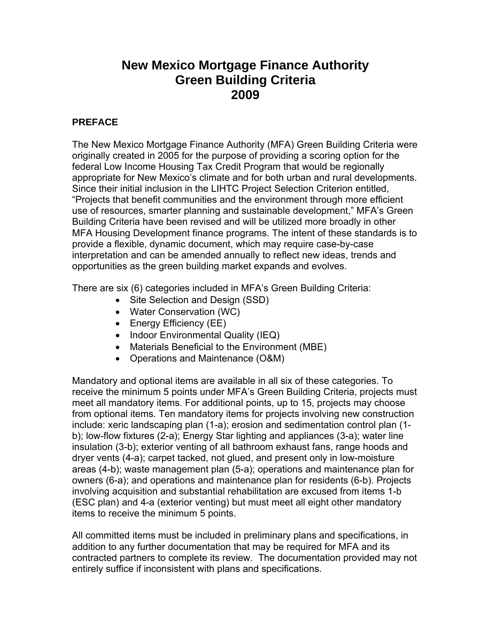# **New Mexico Mortgage Finance Authority Green Building Criteria 2009**

# **PREFACE**

The New Mexico Mortgage Finance Authority (MFA) Green Building Criteria were originally created in 2005 for the purpose of providing a scoring option for the federal Low Income Housing Tax Credit Program that would be regionally appropriate for New Mexico's climate and for both urban and rural developments. Since their initial inclusion in the LIHTC Project Selection Criterion entitled, "Projects that benefit communities and the environment through more efficient use of resources, smarter planning and sustainable development," MFA's Green Building Criteria have been revised and will be utilized more broadly in other MFA Housing Development finance programs. The intent of these standards is to provide a flexible, dynamic document, which may require case-by-case interpretation and can be amended annually to reflect new ideas, trends and opportunities as the green building market expands and evolves.

There are six (6) categories included in MFA's Green Building Criteria:

- Site Selection and Design (SSD)
- Water Conservation (WC)
- Energy Efficiency (EE)
- Indoor Environmental Quality (IEQ)
- Materials Beneficial to the Environment (MBE)
- Operations and Maintenance (O&M)

Mandatory and optional items are available in all six of these categories. To receive the minimum 5 points under MFA's Green Building Criteria, projects must meet all mandatory items. For additional points, up to 15, projects may choose from optional items. Ten mandatory items for projects involving new construction include: xeric landscaping plan (1-a); erosion and sedimentation control plan (1 b); low-flow fixtures (2-a); Energy Star lighting and appliances (3-a); water line insulation (3-b); exterior venting of all bathroom exhaust fans, range hoods and dryer vents (4-a); carpet tacked, not glued, and present only in low-moisture areas (4-b); waste management plan (5-a); operations and maintenance plan for owners (6-a); and operations and maintenance plan for residents (6-b). Projects involving acquisition and substantial rehabilitation are excused from items 1-b (ESC plan) and 4-a (exterior venting) but must meet all eight other mandatory items to receive the minimum 5 points.

All committed items must be included in preliminary plans and specifications, in addition to any further documentation that may be required for MFA and its contracted partners to complete its review. The documentation provided may not entirely suffice if inconsistent with plans and specifications.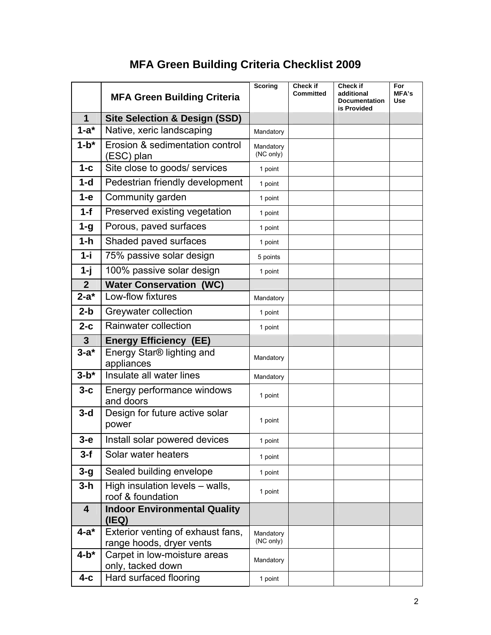# **MFA Green Building Criteria Checklist 2009**

|                | <b>MFA Green Building Criteria</b>                            | <b>Scoring</b>         | Check if<br><b>Committed</b> | Check if<br>additional<br><b>Documentation</b><br>is Provided | For<br><b>MFA's</b><br>Use |
|----------------|---------------------------------------------------------------|------------------------|------------------------------|---------------------------------------------------------------|----------------------------|
| $\mathbf 1$    | <b>Site Selection &amp; Design (SSD)</b>                      |                        |                              |                                                               |                            |
| $1-a^*$        | Native, xeric landscaping                                     | Mandatory              |                              |                                                               |                            |
| $1-b^*$        | Erosion & sedimentation control<br>(ESC) plan                 | Mandatory<br>(NC only) |                              |                                                               |                            |
| $1 - c$        | Site close to goods/ services                                 | 1 point                |                              |                                                               |                            |
| $1-d$          | Pedestrian friendly development                               | 1 point                |                              |                                                               |                            |
| $1-e$          | Community garden                                              | 1 point                |                              |                                                               |                            |
| $1-f$          | Preserved existing vegetation                                 | 1 point                |                              |                                                               |                            |
| $1 - g$        | Porous, paved surfaces                                        | 1 point                |                              |                                                               |                            |
| $1-h$          | Shaded paved surfaces                                         | 1 point                |                              |                                                               |                            |
| $1 - i$        | 75% passive solar design                                      | 5 points               |                              |                                                               |                            |
| $1 - j$        | 100% passive solar design                                     | 1 point                |                              |                                                               |                            |
| 2 <sup>2</sup> | <b>Water Conservation (WC)</b>                                |                        |                              |                                                               |                            |
| $2-a^*$        | Low-flow fixtures                                             | Mandatory              |                              |                                                               |                            |
| $2-b$          | Greywater collection                                          | 1 point                |                              |                                                               |                            |
| $2-c$          | Rainwater collection                                          | 1 point                |                              |                                                               |                            |
| $\overline{3}$ | <b>Energy Efficiency (EE)</b>                                 |                        |                              |                                                               |                            |
| $3-a^*$        | Energy Star® lighting and<br>appliances                       | Mandatory              |                              |                                                               |                            |
| $3-b*$         | Insulate all water lines                                      | Mandatory              |                              |                                                               |                            |
| $3-c$          | Energy performance windows<br>and doors                       | 1 point                |                              |                                                               |                            |
| $3-d$          | Design for future active solar<br>power                       | 1 point                |                              |                                                               |                            |
| $3-e$          | Install solar powered devices                                 | 1 point                |                              |                                                               |                            |
| $3-f$          | Solar water heaters                                           | 1 point                |                              |                                                               |                            |
| $3 - g$        | Sealed building envelope                                      | 1 point                |                              |                                                               |                            |
| $3-h$          | High insulation levels - walls,<br>roof & foundation          | 1 point                |                              |                                                               |                            |
| 4              | <b>Indoor Environmental Quality</b><br>(IEQ)                  |                        |                              |                                                               |                            |
| $4-a^*$        | Exterior venting of exhaust fans,<br>range hoods, dryer vents | Mandatory<br>(NC only) |                              |                                                               |                            |
| $4-b*$         | Carpet in low-moisture areas<br>only, tacked down             | Mandatory              |                              |                                                               |                            |
| $4-c$          | Hard surfaced flooring                                        | 1 point                |                              |                                                               |                            |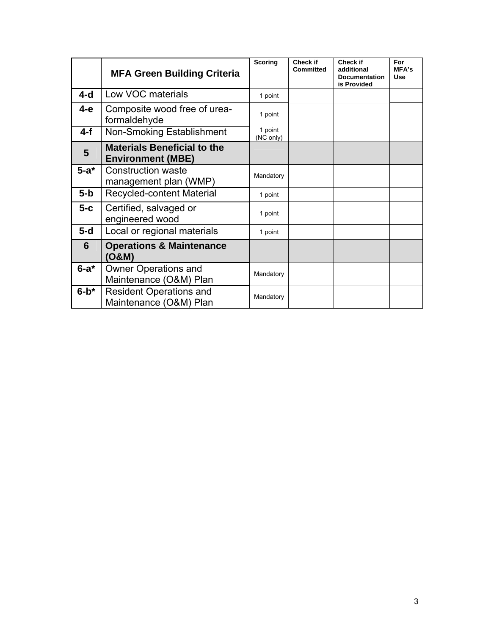|                | <b>MFA Green Building Criteria</b>                             | <b>Scoring</b>       | Check if<br><b>Committed</b> | Check if<br>additional<br><b>Documentation</b><br>is Provided | For<br><b>MFA's</b><br><b>Use</b> |
|----------------|----------------------------------------------------------------|----------------------|------------------------------|---------------------------------------------------------------|-----------------------------------|
| 4-d            | Low VOC materials                                              | 1 point              |                              |                                                               |                                   |
| 4-е            | Composite wood free of urea-<br>formaldehyde                   | 1 point              |                              |                                                               |                                   |
| $4-f$          | Non-Smoking Establishment                                      | 1 point<br>(NC only) |                              |                                                               |                                   |
| $5\phantom{1}$ | <b>Materials Beneficial to the</b><br><b>Environment (MBE)</b> |                      |                              |                                                               |                                   |
| $5-a^*$        | <b>Construction waste</b><br>management plan (WMP)             | Mandatory            |                              |                                                               |                                   |
| $5-b$          | <b>Recycled-content Material</b>                               | 1 point              |                              |                                                               |                                   |
| $5-c$          | Certified, salvaged or<br>engineered wood                      | 1 point              |                              |                                                               |                                   |
| $5-d$          | Local or regional materials                                    | 1 point              |                              |                                                               |                                   |
| 6              | <b>Operations &amp; Maintenance</b><br>(O&M)                   |                      |                              |                                                               |                                   |
| $6-a^*$        | <b>Owner Operations and</b><br>Maintenance (O&M) Plan          | Mandatory            |                              |                                                               |                                   |
| $6-b*$         | <b>Resident Operations and</b><br>Maintenance (O&M) Plan       | Mandatory            |                              |                                                               |                                   |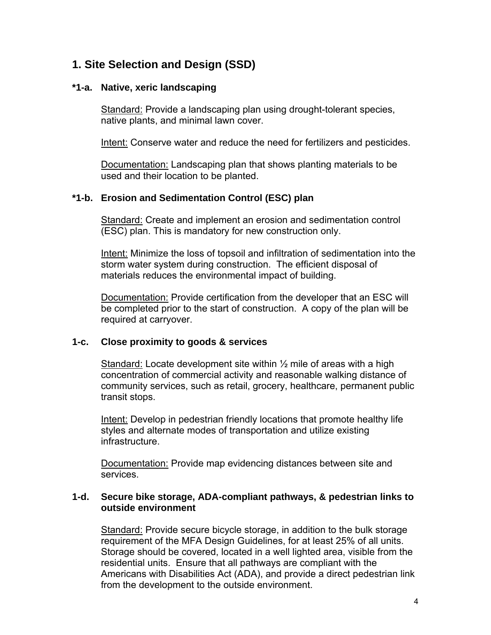# **1. Site Selection and Design (SSD)**

#### **\*1-a. Native, xeric landscaping**

Standard: Provide a landscaping plan using drought-tolerant species, native plants, and minimal lawn cover.

Intent: Conserve water and reduce the need for fertilizers and pesticides.

Documentation: Landscaping plan that shows planting materials to be used and their location to be planted.

# **\*1-b. Erosion and Sedimentation Control (ESC) plan**

Standard: Create and implement an erosion and sedimentation control (ESC) plan. This is mandatory for new construction only.

Intent: Minimize the loss of topsoil and infiltration of sedimentation into the storm water system during construction. The efficient disposal of materials reduces the environmental impact of building.

Documentation: Provide certification from the developer that an ESC will be completed prior to the start of construction. A copy of the plan will be required at carryover.

# **1-c. Close proximity to goods & services**

Standard: Locate development site within ½ mile of areas with a high concentration of commercial activity and reasonable walking distance of community services, such as retail, grocery, healthcare, permanent public transit stops.

Intent: Develop in pedestrian friendly locations that promote healthy life styles and alternate modes of transportation and utilize existing infrastructure.

Documentation: Provide map evidencing distances between site and services.

#### **1-d. Secure bike storage, ADA-compliant pathways, & pedestrian links to outside environment**

Standard: Provide secure bicycle storage, in addition to the bulk storage requirement of the MFA Design Guidelines, for at least 25% of all units. Storage should be covered, located in a well lighted area, visible from the residential units. Ensure that all pathways are compliant with the Americans with Disabilities Act (ADA), and provide a direct pedestrian link from the development to the outside environment.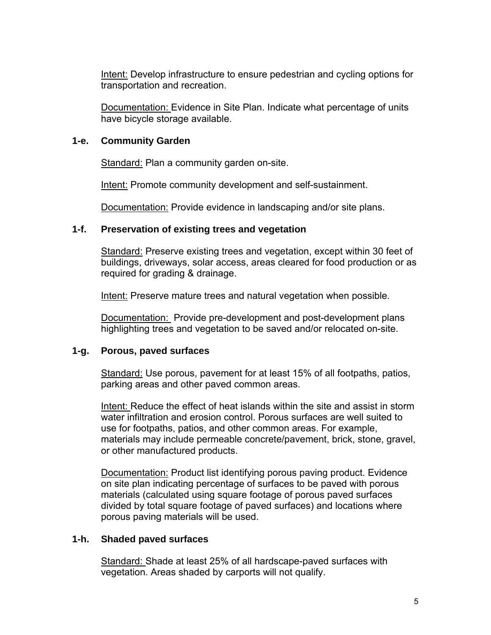Intent: Develop infrastructure to ensure pedestrian and cycling options for transportation and recreation.

Documentation: Evidence in Site Plan. Indicate what percentage of units have bicycle storage available.

#### **1-e. Community Garden**

Standard: Plan a community garden on-site.

Intent: Promote community development and self-sustainment.

Documentation: Provide evidence in landscaping and/or site plans.

### **1-f. Preservation of existing trees and vegetation**

Standard: Preserve existing trees and vegetation, except within 30 feet of buildings, driveways, solar access, areas cleared for food production or as required for grading & drainage.

Intent: Preserve mature trees and natural vegetation when possible.

Documentation: Provide pre-development and post-development plans highlighting trees and vegetation to be saved and/or relocated on-site.

# **1-g. Porous, paved surfaces**

Standard: Use porous, pavement for at least 15% of all footpaths, patios, parking areas and other paved common areas.

 Intent: Reduce the effect of heat islands within the site and assist in storm water infiltration and erosion control. Porous surfaces are well suited to use for footpaths, patios, and other common areas. For example, materials may include permeable concrete/pavement, brick, stone, gravel, or other manufactured products.

 Documentation: Product list identifying porous paving product. Evidence on site plan indicating percentage of surfaces to be paved with porous materials (calculated using square footage of porous paved surfaces divided by total square footage of paved surfaces) and locations where porous paving materials will be used.

# **1-h. Shaded paved surfaces**

Standard: Shade at least 25% of all hardscape-paved surfaces with vegetation. Areas shaded by carports will not qualify.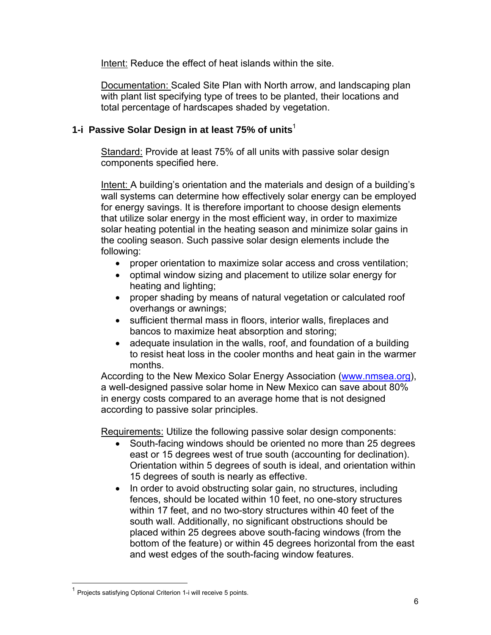Intent: Reduce the effect of heat islands within the site.

 Documentation: Scaled Site Plan with North arrow, and landscaping plan with plant list specifying type of trees to be planted, their locations and total percentage of hardscapes shaded by vegetation.

# **1-i Passive Solar Design in at least 75% of units**<sup>1</sup>

Standard: Provide at least 75% of all units with passive solar design components specified here.

Intent: A building's orientation and the materials and design of a building's wall systems can determine how effectively solar energy can be employed for energy savings. It is therefore important to choose design elements that utilize solar energy in the most efficient way, in order to maximize solar heating potential in the heating season and minimize solar gains in the cooling season. Such passive solar design elements include the following:

- proper orientation to maximize solar access and cross ventilation;
- optimal window sizing and placement to utilize solar energy for heating and lighting;
- proper shading by means of natural vegetation or calculated roof overhangs or awnings;
- sufficient thermal mass in floors, interior walls, fireplaces and bancos to maximize heat absorption and storing;
- adequate insulation in the walls, roof, and foundation of a building to resist heat loss in the cooler months and heat gain in the warmer months.

According to the New Mexico Solar Energy Association (www.nmsea.org), a well-designed passive solar home in New Mexico can save about 80% in energy costs compared to an average home that is not designed according to passive solar principles.

Requirements: Utilize the following passive solar design components:

- South-facing windows should be oriented no more than 25 degrees east or 15 degrees west of true south (accounting for declination). Orientation within 5 degrees of south is ideal, and orientation within 15 degrees of south is nearly as effective.
- In order to avoid obstructing solar gain, no structures, including fences, should be located within 10 feet, no one-story structures within 17 feet, and no two-story structures within 40 feet of the south wall. Additionally, no significant obstructions should be placed within 25 degrees above south-facing windows (from the bottom of the feature) or within 45 degrees horizontal from the east and west edges of the south-facing window features.

 $\overline{a}$ 

<sup>1</sup> Projects satisfying Optional Criterion 1-i will receive 5 points.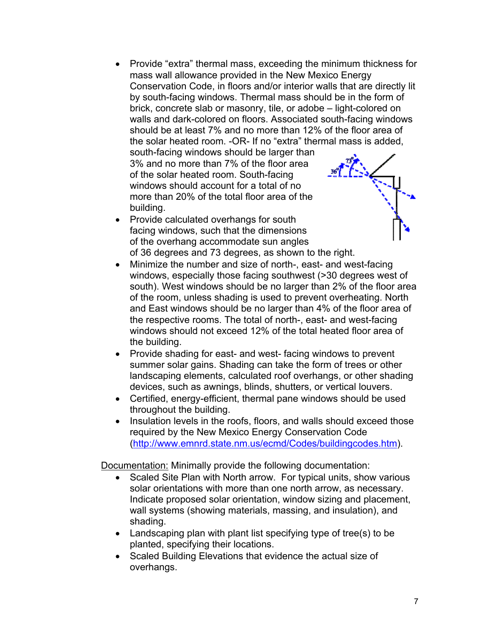• Provide "extra" thermal mass, exceeding the minimum thickness for mass wall allowance provided in the New Mexico Energy Conservation Code, in floors and/or interior walls that are directly lit by south-facing windows. Thermal mass should be in the form of brick, concrete slab or masonry, tile, or adobe – light-colored on walls and dark-colored on floors. Associated south-facing windows should be at least 7% and no more than 12% of the floor area of the solar heated room. -OR- If no "extra" thermal mass is added, south-facing windows should be larger than

3% and no more than 7% of the floor area of the solar heated room. South-facing windows should account for a total of no more than 20% of the total floor area of the building.



- Provide calculated overhangs for south facing windows, such that the dimensions of the overhang accommodate sun angles of 36 degrees and 73 degrees, as shown to the right.
- Minimize the number and size of north-, east- and west-facing windows, especially those facing southwest (>30 degrees west of south). West windows should be no larger than 2% of the floor area of the room, unless shading is used to prevent overheating. North and East windows should be no larger than 4% of the floor area of the respective rooms. The total of north-, east- and west-facing windows should not exceed 12% of the total heated floor area of the building.
- Provide shading for east- and west-facing windows to prevent summer solar gains. Shading can take the form of trees or other landscaping elements, calculated roof overhangs, or other shading devices, such as awnings, blinds, shutters, or vertical louvers.
- Certified, energy-efficient, thermal pane windows should be used throughout the building.
- Insulation levels in the roofs, floors, and walls should exceed those required by the New Mexico Energy Conservation Code (http://www.emnrd.state.nm.us/ecmd/Codes/buildingcodes.htm).

Documentation: Minimally provide the following documentation:

- Scaled Site Plan with North arrow. For typical units, show various solar orientations with more than one north arrow, as necessary. Indicate proposed solar orientation, window sizing and placement, wall systems (showing materials, massing, and insulation), and shading.
- Landscaping plan with plant list specifying type of tree(s) to be planted, specifying their locations.
- Scaled Building Elevations that evidence the actual size of overhangs.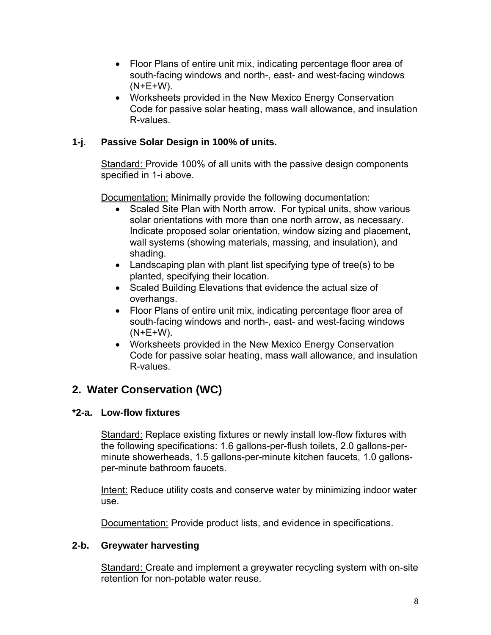- Floor Plans of entire unit mix, indicating percentage floor area of south-facing windows and north-, east- and west-facing windows (N+E+W).
- Worksheets provided in the New Mexico Energy Conservation Code for passive solar heating, mass wall allowance, and insulation R-values.

# **1-j**. **Passive Solar Design in 100% of units.**

Standard: Provide 100% of all units with the passive design components specified in 1-i above.

Documentation: Minimally provide the following documentation:

- Scaled Site Plan with North arrow. For typical units, show various solar orientations with more than one north arrow, as necessary. Indicate proposed solar orientation, window sizing and placement, wall systems (showing materials, massing, and insulation), and shading.
- Landscaping plan with plant list specifying type of tree(s) to be planted, specifying their location.
- Scaled Building Elevations that evidence the actual size of overhangs.
- Floor Plans of entire unit mix, indicating percentage floor area of south-facing windows and north-, east- and west-facing windows  $(N+E+W)$ .
- Worksheets provided in the New Mexico Energy Conservation Code for passive solar heating, mass wall allowance, and insulation R-values.

# **2. Water Conservation (WC)**

# **\*2-a. Low-flow fixtures**

Standard: Replace existing fixtures or newly install low-flow fixtures with the following specifications: 1.6 gallons-per-flush toilets, 2.0 gallons-perminute showerheads, 1.5 gallons-per-minute kitchen faucets, 1.0 gallonsper-minute bathroom faucets.

 Intent: Reduce utility costs and conserve water by minimizing indoor water use.

Documentation: Provide product lists, and evidence in specifications.

#### **2-b. Greywater harvesting**

Standard: Create and implement a greywater recycling system with on-site retention for non-potable water reuse.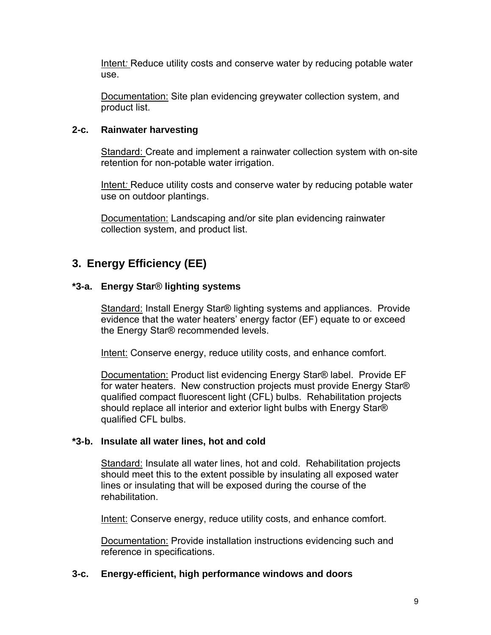Intent*:* Reduce utility costs and conserve water by reducing potable water use.

 Documentation: Site plan evidencing greywater collection system, and product list.

#### **2-c. Rainwater harvesting**

Standard: Create and implement a rainwater collection system with on-site retention for non-potable water irrigation.

 Intent*:* Reduce utility costs and conserve water by reducing potable water use on outdoor plantings.

 Documentation: Landscaping and/or site plan evidencing rainwater collection system, and product list.

# **3. Energy Efficiency (EE)**

### **\*3-a. Energy Star**® **lighting systems**

Standard: Install Energy Star® lighting systems and appliances. Provide evidence that the water heaters' energy factor (EF) equate to or exceed the Energy Star® recommended levels.

Intent: Conserve energy, reduce utility costs, and enhance comfort.

Documentation: Product list evidencing Energy Star® label. Provide EF for water heaters. New construction projects must provide Energy Star® qualified compact fluorescent light (CFL) bulbs. Rehabilitation projects should replace all interior and exterior light bulbs with Energy Star® qualified CFL bulbs.

#### **\*3-b. Insulate all water lines, hot and cold**

Standard: Insulate all water lines, hot and cold. Rehabilitation projects should meet this to the extent possible by insulating all exposed water lines or insulating that will be exposed during the course of the rehabilitation.

Intent: Conserve energy, reduce utility costs, and enhance comfort.

 Documentation: Provide installation instructions evidencing such and reference in specifications.

#### **3-c. Energy-efficient, high performance windows and doors**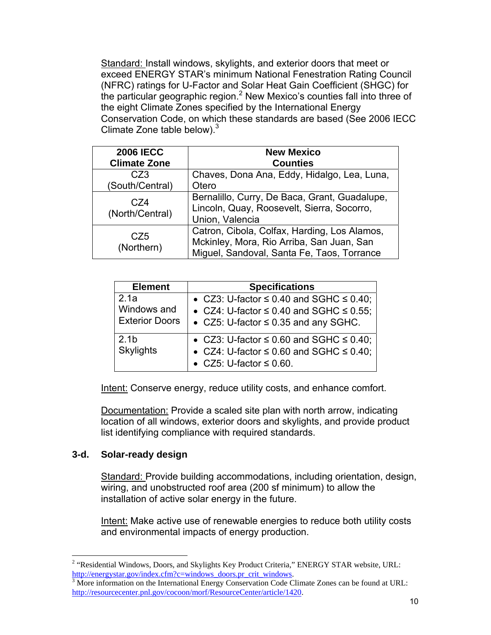Standard: Install windows, skylights, and exterior doors that meet or exceed ENERGY STAR's minimum National Fenestration Rating Council (NFRC) ratings for U-Factor and Solar Heat Gain Coefficient (SHGC) for the particular geographic region.<sup>2</sup> New Mexico's counties fall into three of the eight Climate Zones specified by the International Energy Conservation Code, on which these standards are based (See 2006 IECC Climate Zone table below). $3$ 

| <b>2006 IECC</b>       | <b>New Mexico</b>                                                                                                                       |  |  |
|------------------------|-----------------------------------------------------------------------------------------------------------------------------------------|--|--|
| <b>Climate Zone</b>    | <b>Counties</b>                                                                                                                         |  |  |
| CZ3                    | Chaves, Dona Ana, Eddy, Hidalgo, Lea, Luna,                                                                                             |  |  |
| (South/Central)        | Otero                                                                                                                                   |  |  |
| C74<br>(North/Central) | Bernalillo, Curry, De Baca, Grant, Guadalupe,<br>Lincoln, Quay, Roosevelt, Sierra, Socorro,<br>Union, Valencia                          |  |  |
| CZ5<br>(Northern)      | Catron, Cibola, Colfax, Harding, Los Alamos,<br>Mckinley, Mora, Rio Arriba, San Juan, San<br>Miguel, Sandoval, Santa Fe, Taos, Torrance |  |  |

| <b>Element</b>                               | <b>Specifications</b>                                                                                                                               |
|----------------------------------------------|-----------------------------------------------------------------------------------------------------------------------------------------------------|
| 2.1a<br>Windows and<br><b>Exterior Doors</b> | • CZ3: U-factor $\leq$ 0.40 and SGHC $\leq$ 0.40;<br>• CZ4: U-factor $\leq$ 0.40 and SGHC $\leq$ 0.55;<br>• CZ5: U-factor $\leq$ 0.35 and any SGHC. |
| 2.1 <sub>b</sub><br><b>Skylights</b>         | • CZ3: U-factor $\leq$ 0.60 and SGHC $\leq$ 0.40;<br>• CZ4: U-factor $\leq$ 0.60 and SGHC $\leq$ 0.40;<br>• CZ5: U-factor $\leq$ 0.60.              |

Intent: Conserve energy, reduce utility costs, and enhance comfort.

Documentation: Provide a scaled site plan with north arrow, indicating location of all windows, exterior doors and skylights, and provide product list identifying compliance with required standards.

#### **3-d. Solar-ready design**

1

Standard: Provide building accommodations, including orientation, design, wiring, and unobstructed roof area (200 sf minimum) to allow the installation of active solar energy in the future.

Intent: Make active use of renewable energies to reduce both utility costs and environmental impacts of energy production.

 $2$  "Residential Windows, Doors, and Skylights Key Product Criteria," ENERGY STAR website, URL: http://energystar.gov/index.cfm?c=windows\_doors.pr\_crit\_windows.

 $3$  More information on the International Energy Conservation Code Climate Zones can be found at URL: http://resourcecenter.pnl.gov/cocoon/morf/ResourceCenter/article/1420.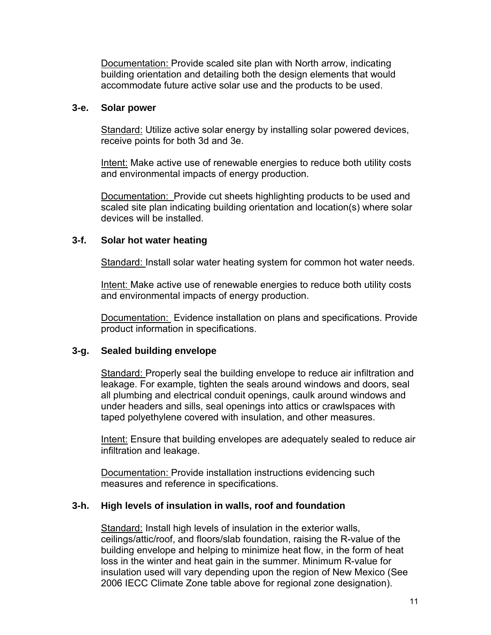Documentation: Provide scaled site plan with North arrow, indicating building orientation and detailing both the design elements that would accommodate future active solar use and the products to be used.

#### **3-e. Solar power**

Standard: Utilize active solar energy by installing solar powered devices, receive points for both 3d and 3e.

Intent: Make active use of renewable energies to reduce both utility costs and environmental impacts of energy production.

Documentation: Provide cut sheets highlighting products to be used and scaled site plan indicating building orientation and location(s) where solar devices will be installed.

### **3-f. Solar hot water heating**

Standard: Install solar water heating system for common hot water needs.

Intent: Make active use of renewable energies to reduce both utility costs and environmental impacts of energy production.

Documentation: Evidence installation on plans and specifications. Provide product information in specifications.

# **3-g. Sealed building envelope**

Standard: Properly seal the building envelope to reduce air infiltration and leakage. For example, tighten the seals around windows and doors, seal all plumbing and electrical conduit openings, caulk around windows and under headers and sills, seal openings into attics or crawlspaces with taped polyethylene covered with insulation, and other measures.

 Intent: Ensure that building envelopes are adequately sealed to reduce air infiltration and leakage.

 Documentation: Provide installation instructions evidencing such measures and reference in specifications.

# **3-h. High levels of insulation in walls, roof and foundation**

Standard: Install high levels of insulation in the exterior walls, ceilings/attic/roof, and floors/slab foundation, raising the R-value of the building envelope and helping to minimize heat flow, in the form of heat loss in the winter and heat gain in the summer. Minimum R-value for insulation used will vary depending upon the region of New Mexico (See 2006 IECC Climate Zone table above for regional zone designation).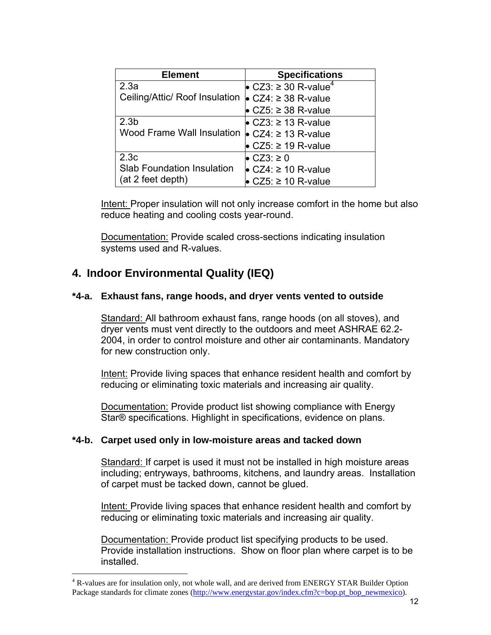| <b>Element</b>                    | <b>Specifications</b>            |
|-----------------------------------|----------------------------------|
| 2.3a                              | • CZ3: ≥ 30 R-value <sup>4</sup> |
| Ceiling/Attic/ Roof Insulation    | $\bullet$ CZ4: ≥ 38 R-value      |
|                                   | $CZ5: \geq 38$ R-value           |
| 2.3 <sub>b</sub>                  | • CZ3: ≥ 13 R-value              |
| Wood Frame Wall Insulation        | $CZ4: \geq 13$ R-value           |
|                                   | $CZ5: \geq 19$ R-value           |
| 2.3c                              | $CZ3: \geq 0$                    |
| <b>Slab Foundation Insulation</b> | • CZ4: ≥ 10 R-value              |
| (at 2 feet depth)                 | $CZ5: \geq 10$ R-value           |

Intent: Proper insulation will not only increase comfort in the home but also reduce heating and cooling costs year-round.

Documentation: Provide scaled cross-sections indicating insulation systems used and R-values.

# **4. Indoor Environmental Quality (IEQ)**

 $\overline{a}$ 

#### **\*4-a. Exhaust fans, range hoods, and dryer vents vented to outside**

Standard: All bathroom exhaust fans, range hoods (on all stoves), and dryer vents must vent directly to the outdoors and meet ASHRAE 62.2- 2004, in order to control moisture and other air contaminants. Mandatory for new construction only.

Intent: Provide living spaces that enhance resident health and comfort by reducing or eliminating toxic materials and increasing air quality.

Documentation: Provide product list showing compliance with Energy Star® specifications. Highlight in specifications, evidence on plans.

#### **\*4-b. Carpet used only in low-moisture areas and tacked down**

Standard: If carpet is used it must not be installed in high moisture areas including; entryways, bathrooms, kitchens, and laundry areas. Installation of carpet must be tacked down, cannot be glued.

Intent: Provide living spaces that enhance resident health and comfort by reducing or eliminating toxic materials and increasing air quality.

Documentation: Provide product list specifying products to be used. Provide installation instructions. Show on floor plan where carpet is to be installed.

<sup>&</sup>lt;sup>4</sup> R-values are for insulation only, not whole wall, and are derived from ENERGY STAR Builder Option Package standards for climate zones (http://www.energystar.gov/index.cfm?c=bop.pt\_bop\_newmexico).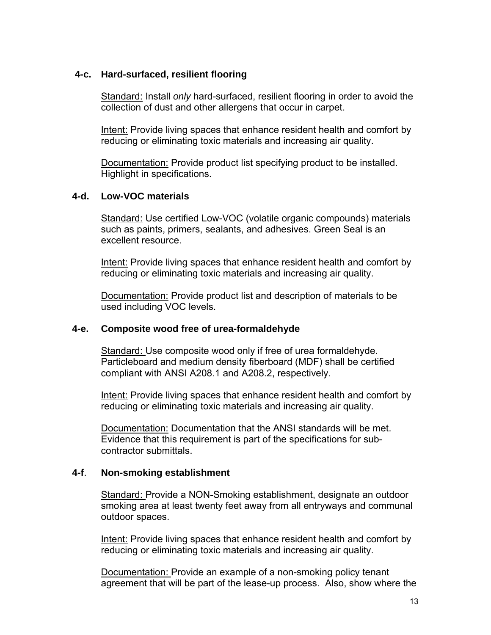#### **4-c. Hard-surfaced, resilient flooring**

Standard: Install *only* hard-surfaced, resilient flooring in order to avoid the collection of dust and other allergens that occur in carpet.

Intent: Provide living spaces that enhance resident health and comfort by reducing or eliminating toxic materials and increasing air quality.

Documentation: Provide product list specifying product to be installed. Highlight in specifications.

#### **4-d. Low-VOC materials**

Standard: Use certified Low-VOC (volatile organic compounds) materials such as paints, primers, sealants, and adhesives. Green Seal is an excellent resource.

Intent: Provide living spaces that enhance resident health and comfort by reducing or eliminating toxic materials and increasing air quality.

Documentation: Provide product list and description of materials to be used including VOC levels.

#### **4-e. Composite wood free of urea-formaldehyde**

Standard: Use composite wood only if free of urea formaldehyde. Particleboard and medium density fiberboard (MDF) shall be certified compliant with ANSI A208.1 and A208.2, respectively.

Intent: Provide living spaces that enhance resident health and comfort by reducing or eliminating toxic materials and increasing air quality.

Documentation: Documentation that the ANSI standards will be met. Evidence that this requirement is part of the specifications for subcontractor submittals.

#### **4-f**. **Non-smoking establishment**

Standard: Provide a NON-Smoking establishment, designate an outdoor smoking area at least twenty feet away from all entryways and communal outdoor spaces.

Intent: Provide living spaces that enhance resident health and comfort by reducing or eliminating toxic materials and increasing air quality.

Documentation: Provide an example of a non-smoking policy tenant agreement that will be part of the lease-up process. Also, show where the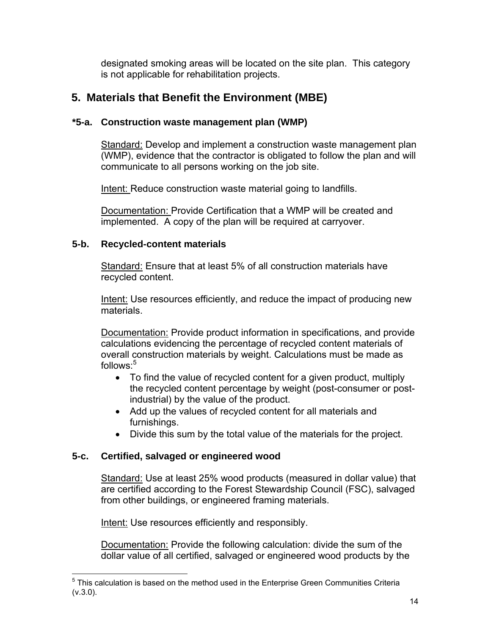designated smoking areas will be located on the site plan. This category is not applicable for rehabilitation projects.

# **5. Materials that Benefit the Environment (MBE)**

# **\*5-a. Construction waste management plan (WMP)**

Standard: Develop and implement a construction waste management plan (WMP), evidence that the contractor is obligated to follow the plan and will communicate to all persons working on the job site.

Intent: Reduce construction waste material going to landfills.

Documentation: Provide Certification that a WMP will be created and implemented. A copy of the plan will be required at carryover.

# **5-b. Recycled-content materials**

Standard: Ensure that at least 5% of all construction materials have recycled content.

 Intent: Use resources efficiently, and reduce the impact of producing new materials.

Documentation: Provide product information in specifications, and provide calculations evidencing the percentage of recycled content materials of overall construction materials by weight. Calculations must be made as follows:<sup>5</sup>

- To find the value of recycled content for a given product, multiply the recycled content percentage by weight (post-consumer or postindustrial) by the value of the product.
- Add up the values of recycled content for all materials and furnishings.
- Divide this sum by the total value of the materials for the project.

# **5-c. Certified, salvaged or engineered wood**

Standard: Use at least 25% wood products (measured in dollar value) that are certified according to the Forest Stewardship Council (FSC), salvaged from other buildings, or engineered framing materials.

Intent: Use resources efficiently and responsibly.

Documentation: Provide the following calculation: divide the sum of the dollar value of all certified, salvaged or engineered wood products by the

<sup>1</sup>  $5$  This calculation is based on the method used in the Enterprise Green Communities Criteria (v.3.0).